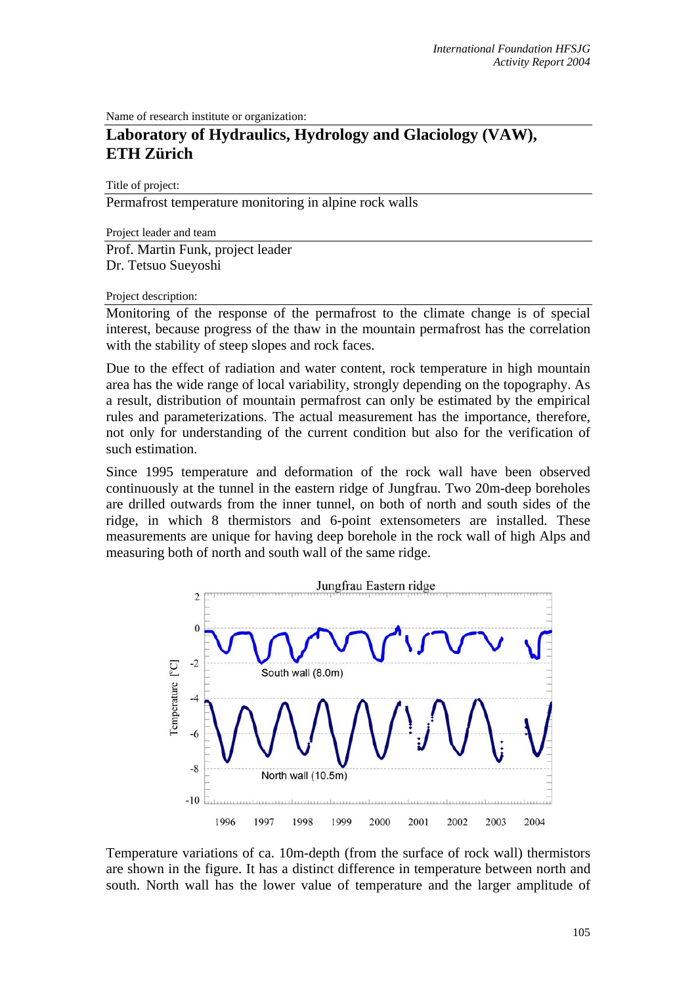Name of research institute or organization:

## **Laboratory of Hydraulics, Hydrology and Glaciology (VAW), ETH Zürich**

Title of project:

Permafrost temperature monitoring in alpine rock walls

Project leader and team Prof. Martin Funk, project leader Dr. Tetsuo Sueyoshi

## Project description:

Monitoring of the response of the permafrost to the climate change is of special interest, because progress of the thaw in the mountain permafrost has the correlation with the stability of steep slopes and rock faces.

Due to the effect of radiation and water content, rock temperature in high mountain area has the wide range of local variability, strongly depending on the topography. As a result, distribution of mountain permafrost can only be estimated by the empirical rules and parameterizations. The actual measurement has the importance, therefore, not only for understanding of the current condition but also for the verification of such estimation.

Since 1995 temperature and deformation of the rock wall have been observed continuously at the tunnel in the eastern ridge of Jungfrau. Two 20m-deep boreholes are drilled outwards from the inner tunnel, on both of north and south sides of the ridge, in which 8 thermistors and 6-point extensometers are installed. These measurements are unique for having deep borehole in the rock wall of high Alps and measuring both of north and south wall of the same ridge.



Temperature variations of ca. 10m-depth (from the surface of rock wall) thermistors are shown in the figure. It has a distinct difference in temperature between north and south. North wall has the lower value of temperature and the larger amplitude of